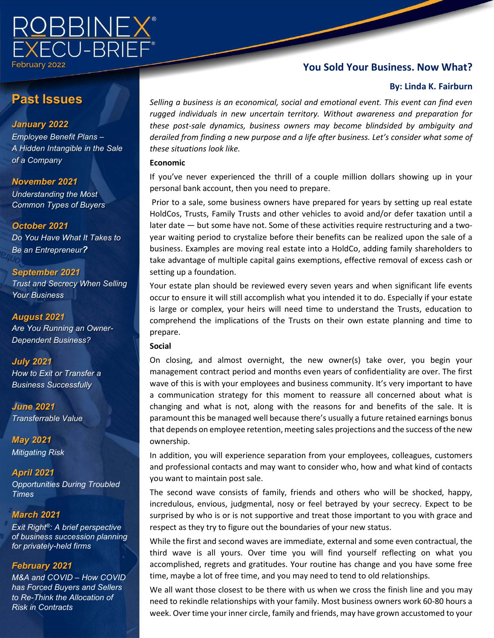

# **Past Issues**

### *January 2022*

*Employee Benefit Plans – A Hidden Intangible in the Sale of a Company*

### *November 2021*

*Understanding the Most Common Types of Buyers*

### *October 2021*

*Do You Have What It Takes to Be an Entrepreneur?* 

*September 2021 Trust and Secrecy When Selling Your Business*

*August 2021 Are You Running an Owner-Dependent Business?*

### *July 2021*

*How to Exit or Transfer a Business Successfully*

*June 2021 Transferrable Value*

*May 2021 Mitigating Risk*

*April 2021 Opportunities During Troubled Times*

## *March 2021*

*Exit Right®: A brief perspective of business succession planning for privately-held firms*

### *February 2021*

 *has Forced Buyers and Sellers M&A and COVID – How COVID to Re-Think the Allocation of Risk in Contracts*

## **You Sold Your Business. Now What?**

#### **By: Linda K. Fairburn**

*Selling a business is an economical, social and emotional event. This event can find even rugged individuals in new uncertain territory. Without awareness and preparation for these post-sale dynamics, business owners may become blindsided by ambiguity and derailed from finding a new purpose and a life after business. Let's consider what some of these situations look like.*

#### **Economic**

If you've never experienced the thrill of a couple million dollars showing up in your personal bank account, then you need to prepare.

Prior to a sale, some business owners have prepared for years by setting up real estate HoldCos, Trusts, Family Trusts and other vehicles to avoid and/or defer taxation until a later date — but some have not. Some of these activities require restructuring and a twoyear waiting period to crystalize before their benefits can be realized upon the sale of a business. Examples are moving real estate into a HoldCo, adding family shareholders to take advantage of multiple capital gains exemptions, effective removal of excess cash or setting up a foundation.

Your estate plan should be reviewed every seven years and when significant life events occur to ensure it will still accomplish what you intended it to do. Especially if your estate is large or complex, your heirs will need time to understand the Trusts, education to comprehend the implications of the Trusts on their own estate planning and time to prepare.

#### **Social**

On closing, and almost overnight, the new owner(s) take over, you begin your management contract period and months even years of confidentiality are over. The first wave of this is with your employees and business community. It's very important to have a communication strategy for this moment to reassure all concerned about what is changing and what is not, along with the reasons for and benefits of the sale. It is paramount this be managed well because there's usually a future retained earnings bonus that depends on employee retention, meeting sales projections and the success of the new ownership.

In addition, you will experience separation from your employees, colleagues, customers and professional contacts and may want to consider who, how and what kind of contacts you want to maintain post sale.

The second wave consists of family, friends and others who will be shocked, happy, incredulous, envious, judgmental, nosy or feel betrayed by your secrecy. Expect to be surprised by who is or is not supportive and treat those important to you with grace and respect as they try to figure out the boundaries of your new status.

While the first and second waves are immediate, external and some even contractual, the third wave is all yours. Over time you will find yourself reflecting on what you accomplished, regrets and gratitudes. Your routine has change and you have some free time, maybe a lot of free time, and you may need to tend to old relationships.

We all want those closest to be there with us when we cross the finish line and you may need to rekindle relationships with your family. Most business owners work 60-80 hours a week. Over time your inner circle, family and friends, may have grown accustomed to your